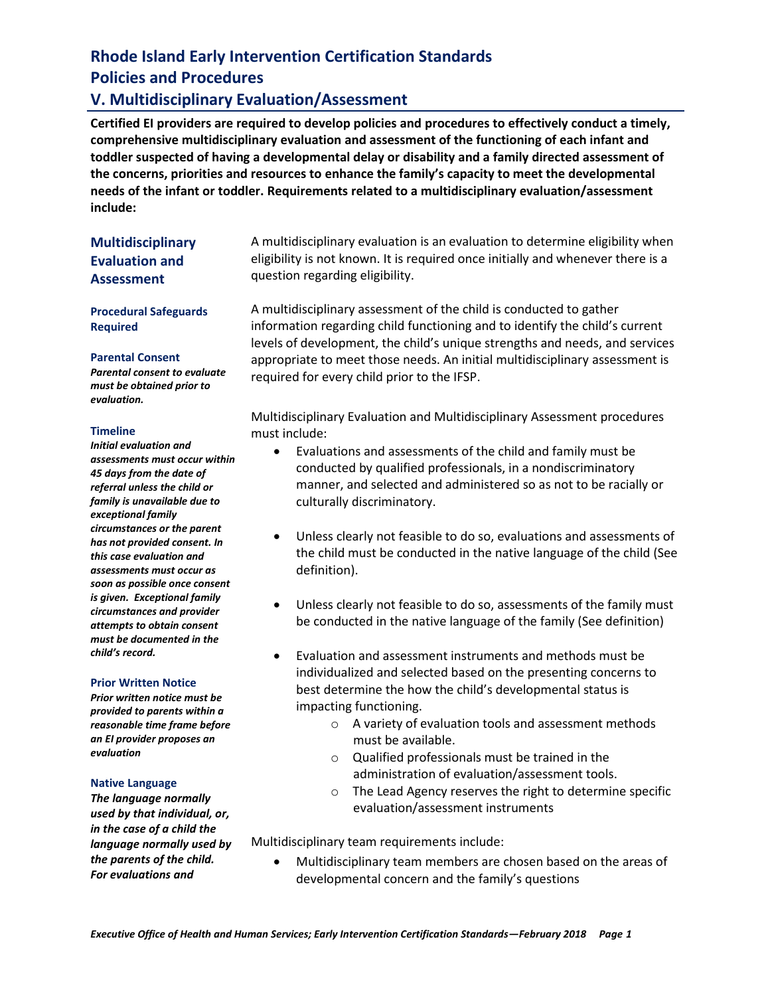## **V. Multidisciplinary Evaluation/Assessment**

**Certified EI providers are required to develop policies and procedures to effectively conduct a timely, comprehensive multidisciplinary evaluation and assessment of the functioning of each infant and toddler suspected of having a developmental delay or disability and a family directed assessment of the concerns, priorities and resources to enhance the family's capacity to meet the developmental needs of the infant or toddler. Requirements related to a multidisciplinary evaluation/assessment include:** 

## **Multidisciplinary Evaluation and Assessment**

**Procedural Safeguards Required** 

#### **Parental Consent**

*Parental consent to evaluate must be obtained prior to evaluation.* 

#### **Timeline**

*Initial evaluation and assessments must occur within 45 days from the date of referral unless the child or family is unavailable due to exceptional family circumstances or the parent has not provided consent. In this case evaluation and assessments must occur as soon as possible once consent is given. Exceptional family circumstances and provider attempts to obtain consent must be documented in the child's record.*

#### **Prior Written Notice**

*Prior written notice must be provided to parents within a reasonable time frame before an EI provider proposes an evaluation*

#### **Native Language**

*The language normally used by that individual, or, in the case of a child the language normally used by the parents of the child. For evaluations and* 

A multidisciplinary evaluation is an evaluation to determine eligibility when eligibility is not known. It is required once initially and whenever there is a question regarding eligibility.

A multidisciplinary assessment of the child is conducted to gather information regarding child functioning and to identify the child's current levels of development, the child's unique strengths and needs, and services appropriate to meet those needs. An initial multidisciplinary assessment is required for every child prior to the IFSP.

Multidisciplinary Evaluation and Multidisciplinary Assessment procedures must include:

- Evaluations and assessments of the child and family must be conducted by qualified professionals, in a nondiscriminatory manner, and selected and administered so as not to be racially or culturally discriminatory.
- Unless clearly not feasible to do so, evaluations and assessments of the child must be conducted in the native language of the child (See definition).
- Unless clearly not feasible to do so, assessments of the family must be conducted in the native language of the family (See definition)
- Evaluation and assessment instruments and methods must be individualized and selected based on the presenting concerns to best determine the how the child's developmental status is impacting functioning.
	- o A variety of evaluation tools and assessment methods must be available.
	- o Qualified professionals must be trained in the administration of evaluation/assessment tools.
	- o The Lead Agency reserves the right to determine specific evaluation/assessment instruments

Multidisciplinary team requirements include:

• Multidisciplinary team members are chosen based on the areas of developmental concern and the family's questions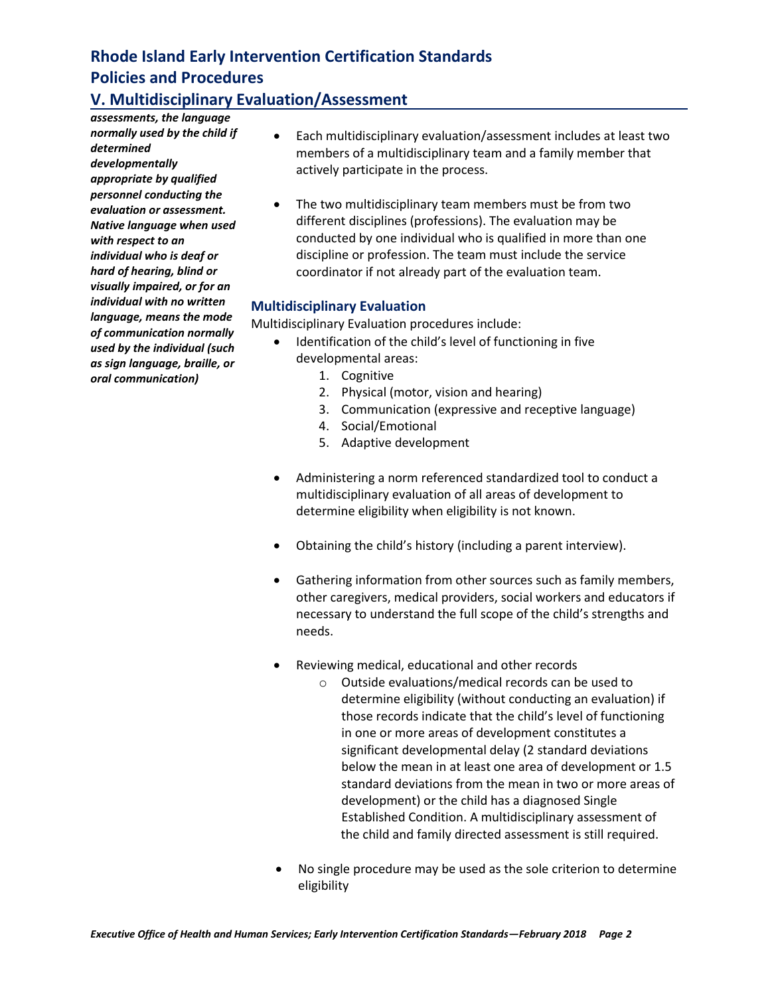# **V. Multidisciplinary Evaluation/Assessment**

*assessments, the language normally used by the child if determined developmentally appropriate by qualified personnel conducting the evaluation or assessment. Native language when used with respect to an individual who is deaf or hard of hearing, blind or visually impaired, or for an individual with no written language, means the mode of communication normally used by the individual (such as sign language, braille, or oral communication)*

- Each multidisciplinary evaluation/assessment includes at least two members of a multidisciplinary team and a family member that actively participate in the process.
- The two multidisciplinary team members must be from two different disciplines (professions). The evaluation may be conducted by one individual who is qualified in more than one discipline or profession. The team must include the service coordinator if not already part of the evaluation team.

### **Multidisciplinary Evaluation**

Multidisciplinary Evaluation procedures include:

- Identification of the child's level of functioning in five developmental areas:
	- 1. Cognitive
	- 2. Physical (motor, vision and hearing)
	- 3. Communication (expressive and receptive language)
	- 4. Social/Emotional
	- 5. Adaptive development
- Administering a norm referenced standardized tool to conduct a multidisciplinary evaluation of all areas of development to determine eligibility when eligibility is not known.
- Obtaining the child's history (including a parent interview).
- Gathering information from other sources such as family members, other caregivers, medical providers, social workers and educators if necessary to understand the full scope of the child's strengths and needs.
- Reviewing medical, educational and other records
	- o Outside evaluations/medical records can be used to determine eligibility (without conducting an evaluation) if those records indicate that the child's level of functioning in one or more areas of development constitutes a significant developmental delay (2 standard deviations below the mean in at least one area of development or 1.5 standard deviations from the mean in two or more areas of development) or the child has a diagnosed Single Established Condition. A multidisciplinary assessment of the child and family directed assessment is still required.
- No single procedure may be used as the sole criterion to determine eligibility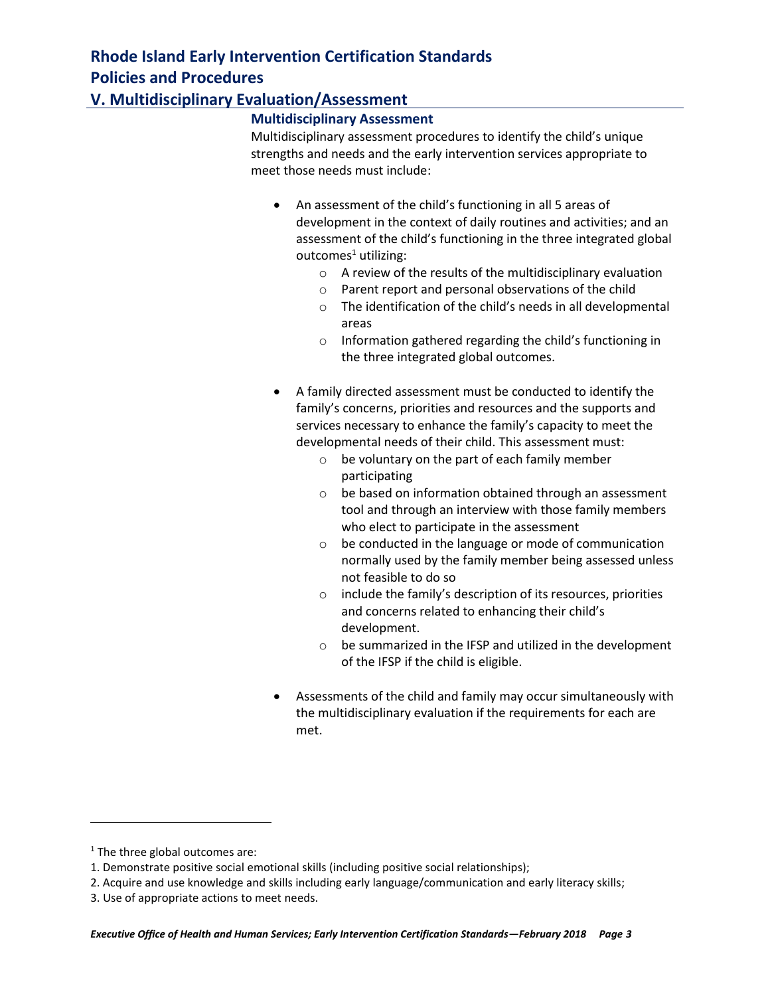# **V. Multidisciplinary Evaluation/Assessment**

#### **Multidisciplinary Assessment**

Multidisciplinary assessment procedures to identify the child's unique strengths and needs and the early intervention services appropriate to meet those needs must include:

- An assessment of the child's functioning in all 5 areas of development in the context of daily routines and activities; and an assessment of the child's functioning in the three integrated global outcomes $<sup>1</sup>$  utilizing:</sup>
	- o A review of the results of the multidisciplinary evaluation
	- o Parent report and personal observations of the child
	- o The identification of the child's needs in all developmental areas
	- o Information gathered regarding the child's functioning in the three integrated global outcomes.
- A family directed assessment must be conducted to identify the family's concerns, priorities and resources and the supports and services necessary to enhance the family's capacity to meet the developmental needs of their child. This assessment must:
	- o be voluntary on the part of each family member participating
	- o be based on information obtained through an assessment tool and through an interview with those family members who elect to participate in the assessment
	- o be conducted in the language or mode of communication normally used by the family member being assessed unless not feasible to do so
	- o include the family's description of its resources, priorities and concerns related to enhancing their child's development.
	- o be summarized in the IFSP and utilized in the development of the IFSP if the child is eligible.
- Assessments of the child and family may occur simultaneously with the multidisciplinary evaluation if the requirements for each are met.

l

 $1$  The three global outcomes are:

<sup>1.</sup> Demonstrate positive social emotional skills (including positive social relationships);

<sup>2.</sup> Acquire and use knowledge and skills including early language/communication and early literacy skills;

<sup>3.</sup> Use of appropriate actions to meet needs.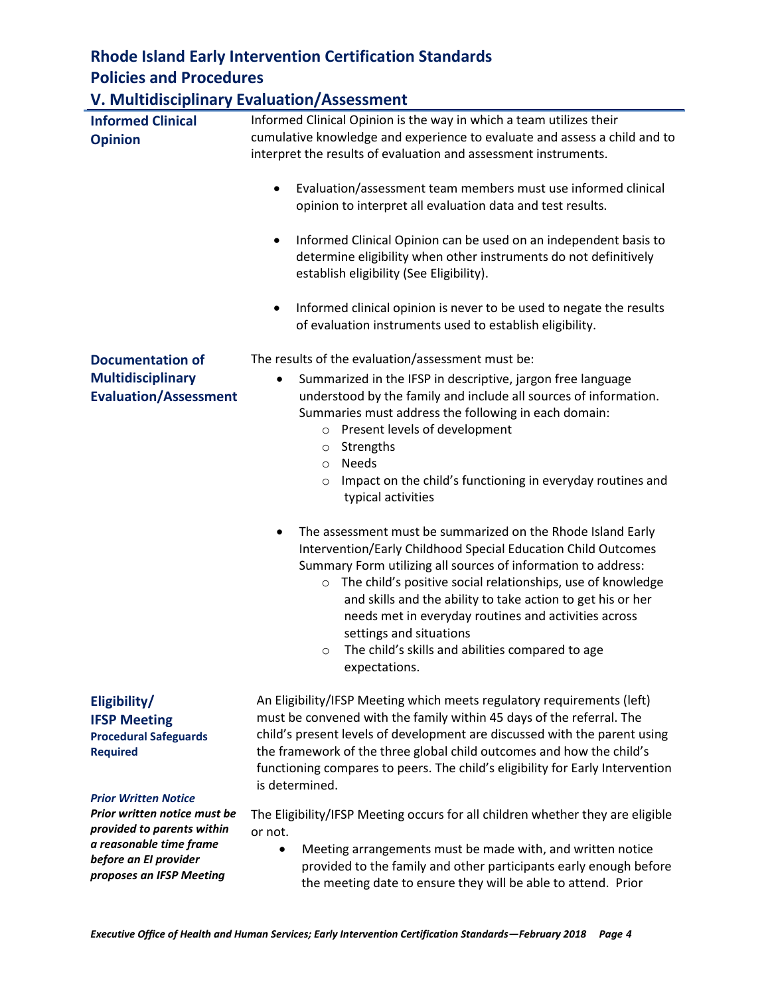# **V. Multidisciplinary Evaluation/Assessment**

|                                                                                                                                                                           | Evaluation, reseasnicht                                                                                                                                                                                                                                                                                                                                                                                                                                                                                                |  |
|---------------------------------------------------------------------------------------------------------------------------------------------------------------------------|------------------------------------------------------------------------------------------------------------------------------------------------------------------------------------------------------------------------------------------------------------------------------------------------------------------------------------------------------------------------------------------------------------------------------------------------------------------------------------------------------------------------|--|
| <b>Informed Clinical</b><br><b>Opinion</b>                                                                                                                                | Informed Clinical Opinion is the way in which a team utilizes their<br>cumulative knowledge and experience to evaluate and assess a child and to<br>interpret the results of evaluation and assessment instruments.                                                                                                                                                                                                                                                                                                    |  |
|                                                                                                                                                                           | Evaluation/assessment team members must use informed clinical<br>٠<br>opinion to interpret all evaluation data and test results.                                                                                                                                                                                                                                                                                                                                                                                       |  |
|                                                                                                                                                                           | Informed Clinical Opinion can be used on an independent basis to<br>٠<br>determine eligibility when other instruments do not definitively<br>establish eligibility (See Eligibility).                                                                                                                                                                                                                                                                                                                                  |  |
|                                                                                                                                                                           | Informed clinical opinion is never to be used to negate the results<br>٠<br>of evaluation instruments used to establish eligibility.                                                                                                                                                                                                                                                                                                                                                                                   |  |
| <b>Documentation of</b>                                                                                                                                                   | The results of the evaluation/assessment must be:                                                                                                                                                                                                                                                                                                                                                                                                                                                                      |  |
| <b>Multidisciplinary</b><br><b>Evaluation/Assessment</b>                                                                                                                  | Summarized in the IFSP in descriptive, jargon free language<br>$\bullet$<br>understood by the family and include all sources of information.<br>Summaries must address the following in each domain:<br>o Present levels of development<br>Strengths<br>$\circ$<br><b>Needs</b><br>$\circ$                                                                                                                                                                                                                             |  |
|                                                                                                                                                                           | Impact on the child's functioning in everyday routines and<br>$\circ$<br>typical activities                                                                                                                                                                                                                                                                                                                                                                                                                            |  |
|                                                                                                                                                                           | The assessment must be summarized on the Rhode Island Early<br>$\bullet$<br>Intervention/Early Childhood Special Education Child Outcomes<br>Summary Form utilizing all sources of information to address:<br>The child's positive social relationships, use of knowledge<br>$\circ$<br>and skills and the ability to take action to get his or her<br>needs met in everyday routines and activities across<br>settings and situations<br>The child's skills and abilities compared to age<br>$\circ$<br>expectations. |  |
| Eligibility/<br><b>IFSP Meeting</b><br><b>Procedural Safeguards</b><br><b>Required</b>                                                                                    | An Eligibility/IFSP Meeting which meets regulatory requirements (left)<br>must be convened with the family within 45 days of the referral. The<br>child's present levels of development are discussed with the parent using<br>the framework of the three global child outcomes and how the child's<br>functioning compares to peers. The child's eligibility for Early Intervention<br>is determined.                                                                                                                 |  |
| <b>Prior Written Notice</b><br>Prior written notice must be<br>provided to parents within<br>a reasonable time frame<br>before an El provider<br>proposes an IFSP Meeting | The Eligibility/IFSP Meeting occurs for all children whether they are eligible<br>or not.<br>Meeting arrangements must be made with, and written notice<br>$\bullet$<br>provided to the family and other participants early enough before<br>the meeting date to ensure they will be able to attend. Prior                                                                                                                                                                                                             |  |
|                                                                                                                                                                           |                                                                                                                                                                                                                                                                                                                                                                                                                                                                                                                        |  |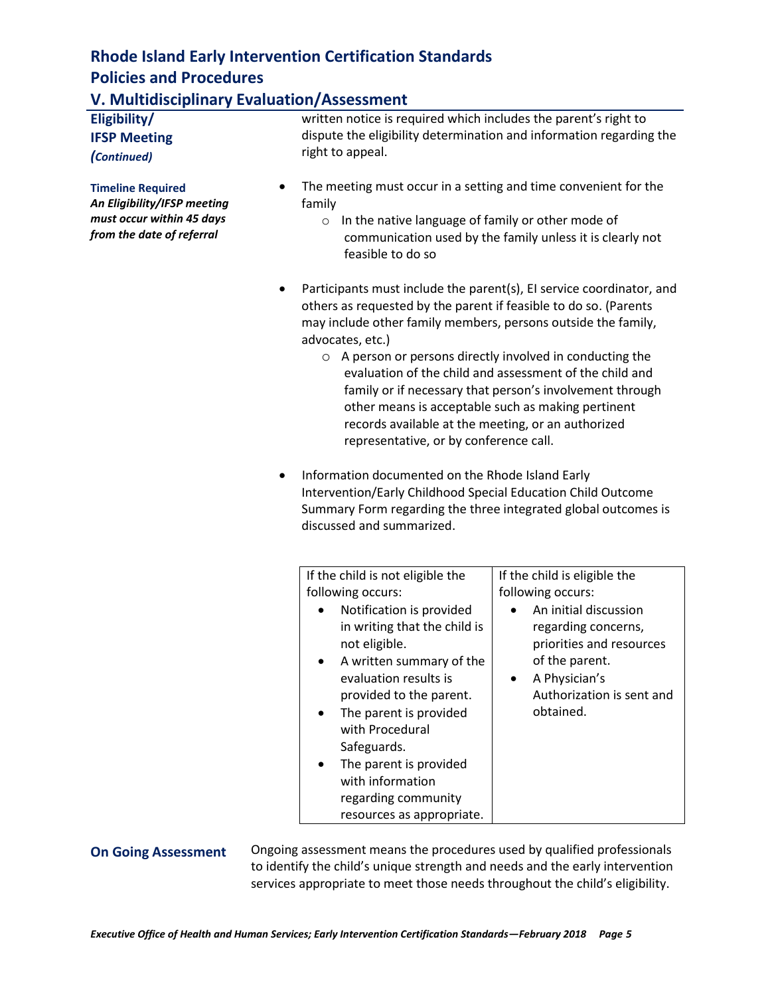# **V. Multidisciplinary Evaluation/Assessment**

| Eligibility/<br><b>IFSP Meeting</b>                                                                               | written notice is required which includes the parent's right to<br>dispute the eligibility determination and information regarding the<br>right to appeal.                                                                                                                                                                                                                                                                                                                                                                                                                                                                                                                                                                                                                                 |                                                                                                                                                                                                            |  |
|-------------------------------------------------------------------------------------------------------------------|--------------------------------------------------------------------------------------------------------------------------------------------------------------------------------------------------------------------------------------------------------------------------------------------------------------------------------------------------------------------------------------------------------------------------------------------------------------------------------------------------------------------------------------------------------------------------------------------------------------------------------------------------------------------------------------------------------------------------------------------------------------------------------------------|------------------------------------------------------------------------------------------------------------------------------------------------------------------------------------------------------------|--|
| (Continued)                                                                                                       |                                                                                                                                                                                                                                                                                                                                                                                                                                                                                                                                                                                                                                                                                                                                                                                            |                                                                                                                                                                                                            |  |
| <b>Timeline Required</b><br>An Eligibility/IFSP meeting<br>must occur within 45 days<br>from the date of referral | The meeting must occur in a setting and time convenient for the<br>family<br>In the native language of family or other mode of<br>$\circ$<br>communication used by the family unless it is clearly not<br>feasible to do so                                                                                                                                                                                                                                                                                                                                                                                                                                                                                                                                                                |                                                                                                                                                                                                            |  |
| ٠<br>٠                                                                                                            | Participants must include the parent(s), EI service coordinator, and<br>others as requested by the parent if feasible to do so. (Parents<br>may include other family members, persons outside the family,<br>advocates, etc.)<br>○ A person or persons directly involved in conducting the<br>evaluation of the child and assessment of the child and<br>family or if necessary that person's involvement through<br>other means is acceptable such as making pertinent<br>records available at the meeting, or an authorized<br>representative, or by conference call.<br>Information documented on the Rhode Island Early<br>Intervention/Early Childhood Special Education Child Outcome<br>Summary Form regarding the three integrated global outcomes is<br>discussed and summarized. |                                                                                                                                                                                                            |  |
|                                                                                                                   | If the child is not eligible the<br>following occurs:<br>Notification is provided<br>in writing that the child is<br>not eligible.<br>A written summary of the<br>evaluation results is<br>provided to the parent.<br>The parent is provided<br>with Procedural<br>Safeguards.<br>The parent is provided<br>with information<br>regarding community<br>resources as appropriate.                                                                                                                                                                                                                                                                                                                                                                                                           | If the child is eligible the<br>following occurs:<br>An initial discussion<br>regarding concerns,<br>priorities and resources<br>of the parent.<br>A Physician's<br>Authorization is sent and<br>obtained. |  |

**On Going Assessment** Ongoing assessment means the procedures used by qualified professionals to identify the child's unique strength and needs and the early intervention services appropriate to meet those needs throughout the child's eligibility.